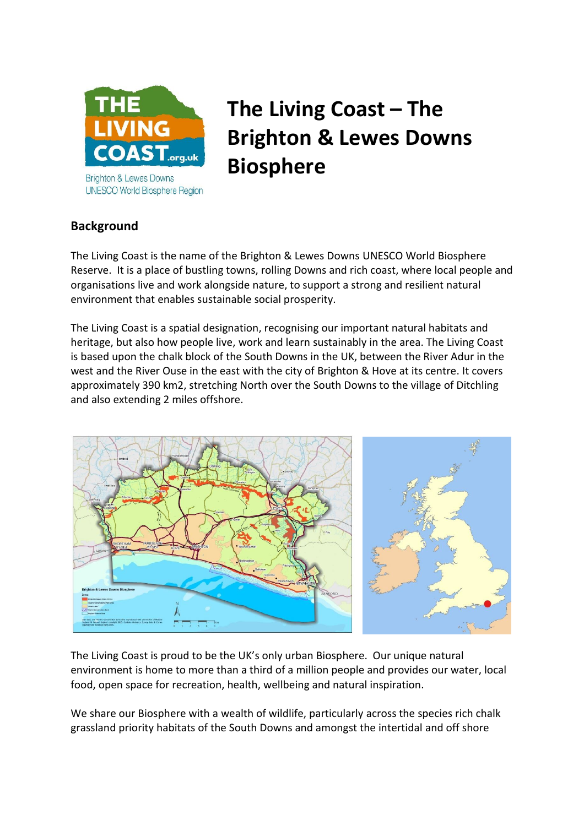

# **The Living Coast – The Brighton & Lewes Downs Biosphere**

# **Background**

The Living Coast is the name of the Brighton & Lewes Downs UNESCO World Biosphere Reserve. It is a place of bustling towns, rolling Downs and rich coast, where local people and organisations live and work alongside nature, to support a strong and resilient natural environment that enables sustainable social prosperity.

The Living Coast is a spatial designation, recognising our important natural habitats and heritage, but also how people live, work and learn sustainably in the area. The Living Coast is based upon the chalk block of the South Downs in the UK, between the River Adur in the west and the River Ouse in the east with the city of Brighton & Hove at its centre. It covers approximately 390 km2, stretching North over the South Downs to the village of Ditchling and also extending 2 miles offshore.



The Living Coast is proud to be the UK's only urban Biosphere. Our unique natural environment is home to more than a third of a million people and provides our water, local food, open space for recreation, health, wellbeing and natural inspiration.

We share our Biosphere with a wealth of wildlife, particularly across the species rich chalk grassland priority habitats of the South Downs and amongst the intertidal and off shore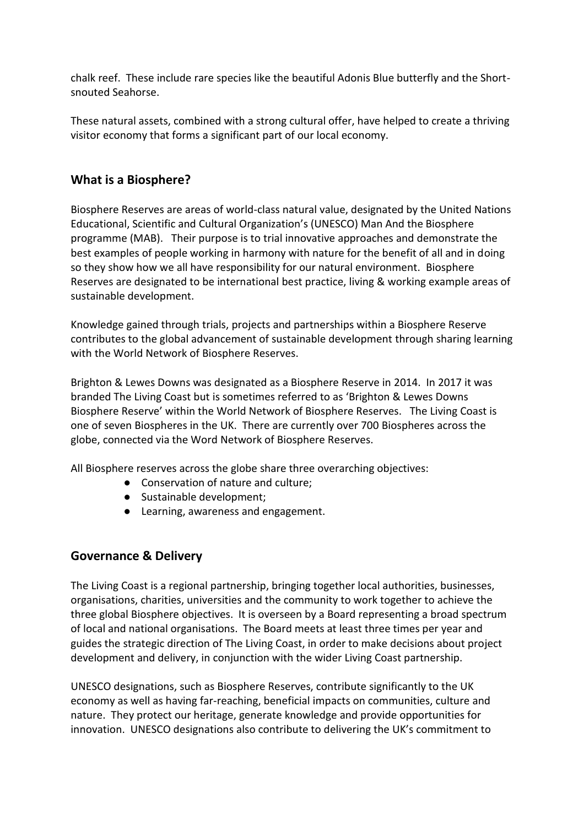chalk reef. These include rare species like the beautiful Adonis Blue butterfly and the Shortsnouted Seahorse.

These natural assets, combined with a strong cultural offer, have helped to create a thriving visitor economy that forms a significant part of our local economy.

# **What is a Biosphere?**

Biosphere Reserves are areas of world-class natural value, designated by the United Nations Educational, Scientific and Cultural Organization's (UNESCO) Man And the Biosphere programme (MAB). Their purpose is to trial innovative approaches and demonstrate the best examples of people working in harmony with nature for the benefit of all and in doing so they show how we all have responsibility for our natural environment. Biosphere Reserves are designated to be international best practice, living & working example areas of sustainable development.

Knowledge gained through trials, projects and partnerships within a Biosphere Reserve contributes to the global advancement of sustainable development through sharing learning with the World Network of Biosphere Reserves.

Brighton & Lewes Downs was designated as a Biosphere Reserve in 2014. In 2017 it was branded The Living Coast but is sometimes referred to as 'Brighton & Lewes Downs Biosphere Reserve' within the World Network of Biosphere Reserves. The Living Coast is one of seven Biospheres in the UK. There are currently over 700 Biospheres across the globe, connected via the Word Network of Biosphere Reserves.

All Biosphere reserves across the globe share three overarching objectives:

- Conservation of nature and culture;
- Sustainable development;
- Learning, awareness and engagement.

# **Governance & Delivery**

The Living Coast is a regional partnership, bringing together local authorities, businesses, organisations, charities, universities and the community to work together to achieve the three global Biosphere objectives. It is overseen by a Board representing a broad spectrum of local and national organisations. The Board meets at least three times per year and guides the strategic direction of The Living Coast, in order to make decisions about project development and delivery, in conjunction with the wider Living Coast partnership.

UNESCO designations, such as Biosphere Reserves, contribute significantly to the UK economy as well as having far-reaching, beneficial impacts on communities, culture and nature. They protect our heritage, generate knowledge and provide opportunities for innovation. UNESCO designations also contribute to delivering the UK's commitment to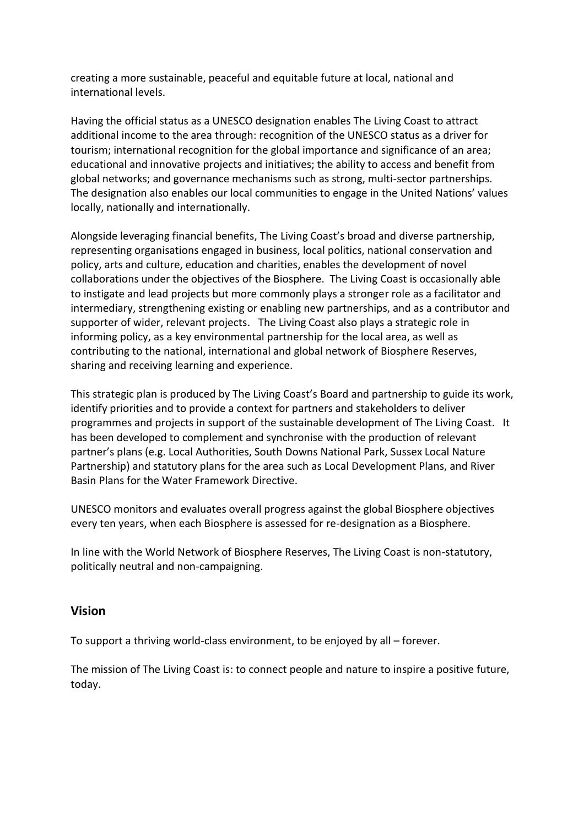creating a more sustainable, peaceful and equitable future at local, national and international levels.

Having the official status as a UNESCO designation enables The Living Coast to attract additional income to the area through: recognition of the UNESCO status as a driver for tourism; international recognition for the global importance and significance of an area; educational and innovative projects and initiatives; the ability to access and benefit from global networks; and governance mechanisms such as strong, multi-sector partnerships. The designation also enables our local communities to engage in the United Nations' values locally, nationally and internationally.

Alongside leveraging financial benefits, The Living Coast's broad and diverse partnership, representing organisations engaged in business, local politics, national conservation and policy, arts and culture, education and charities, enables the development of novel collaborations under the objectives of the Biosphere. The Living Coast is occasionally able to instigate and lead projects but more commonly plays a stronger role as a facilitator and intermediary, strengthening existing or enabling new partnerships, and as a contributor and supporter of wider, relevant projects. The Living Coast also plays a strategic role in informing policy, as a key environmental partnership for the local area, as well as contributing to the national, international and global network of Biosphere Reserves, sharing and receiving learning and experience.

This strategic plan is produced by The Living Coast's Board and partnership to guide its work, identify priorities and to provide a context for partners and stakeholders to deliver programmes and projects in support of the sustainable development of The Living Coast. It has been developed to complement and synchronise with the production of relevant partner's plans (e.g. Local Authorities, South Downs National Park, Sussex Local Nature Partnership) and statutory plans for the area such as Local Development Plans, and River Basin Plans for the Water Framework Directive.

UNESCO monitors and evaluates overall progress against the global Biosphere objectives every ten years, when each Biosphere is assessed for re-designation as a Biosphere.

In line with the World Network of Biosphere Reserves, The Living Coast is non-statutory, politically neutral and non-campaigning.

## **Vision**

To support a thriving world-class environment, to be enjoyed by all – forever.

The mission of The Living Coast is: to connect people and nature to inspire a positive future, today.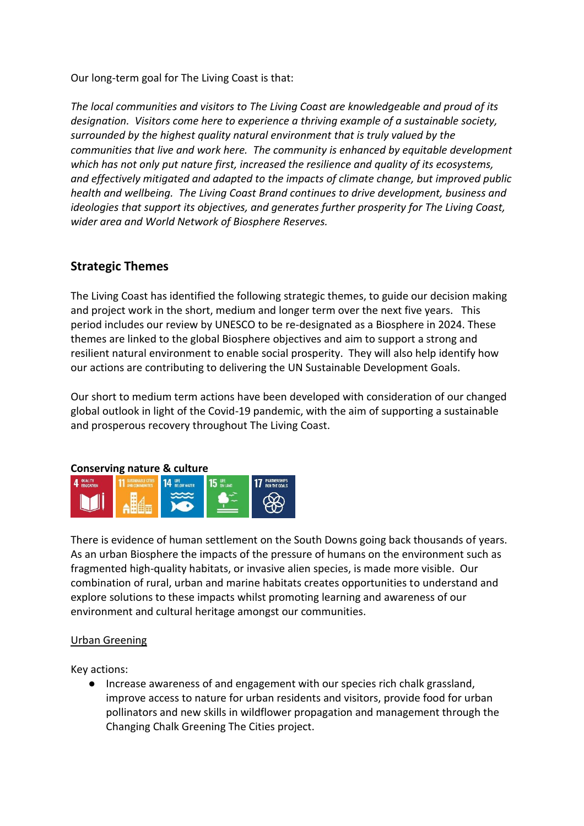Our long-term goal for The Living Coast is that:

*The local communities and visitors to The Living Coast are knowledgeable and proud of its designation. Visitors come here to experience a thriving example of a sustainable society, surrounded by the highest quality natural environment that is truly valued by the communities that live and work here. The community is enhanced by equitable development which has not only put nature first, increased the resilience and quality of its ecosystems, and effectively mitigated and adapted to the impacts of climate change, but improved public health and wellbeing. The Living Coast Brand continues to drive development, business and ideologies that support its objectives, and generates further prosperity for The Living Coast, wider area and World Network of Biosphere Reserves.*

# **Strategic Themes**

The Living Coast has identified the following strategic themes, to guide our decision making and project work in the short, medium and longer term over the next five years. This period includes our review by UNESCO to be re-designated as a Biosphere in 2024. These themes are linked to the global Biosphere objectives and aim to support a strong and resilient natural environment to enable social prosperity. They will also help identify how our actions are contributing to delivering the UN Sustainable Development Goals.

Our short to medium term actions have been developed with consideration of our changed global outlook in light of the Covid-19 pandemic, with the aim of supporting a sustainable and prosperous recovery throughout The Living Coast.

#### **Conserving nature & culture**



There is evidence of human settlement on the South Downs going back thousands of years. As an urban Biosphere the impacts of the pressure of humans on the environment such as fragmented high-quality habitats, or invasive alien species, is made more visible. Our combination of rural, urban and marine habitats creates opportunities to understand and explore solutions to these impacts whilst promoting learning and awareness of our environment and cultural heritage amongst our communities.

#### Urban Greening

Key actions:

● Increase awareness of and engagement with our species rich chalk grassland, improve access to nature for urban residents and visitors, provide food for urban pollinators and new skills in wildflower propagation and management through the Changing Chalk Greening The Cities project.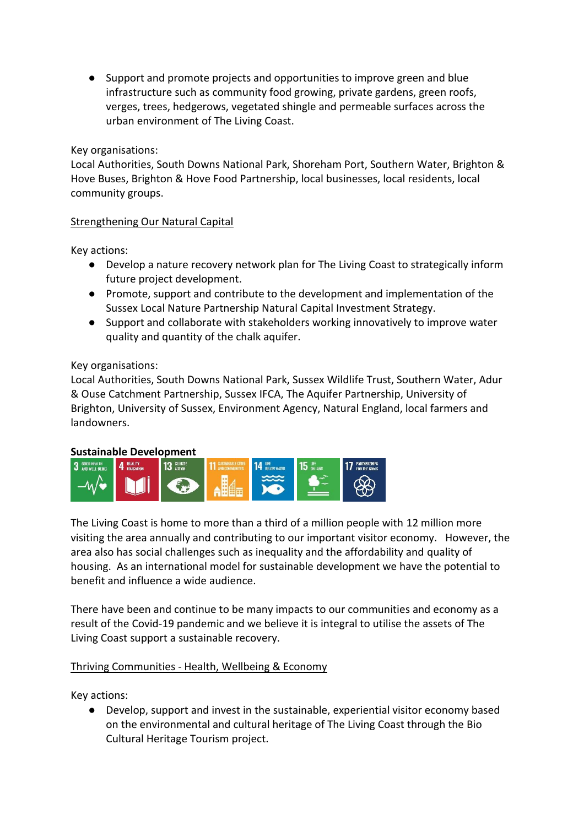● Support and promote projects and opportunities to improve green and blue infrastructure such as community food growing, private gardens, green roofs, verges, trees, hedgerows, vegetated shingle and permeable surfaces across the urban environment of The Living Coast.

Key organisations:

Local Authorities, South Downs National Park, Shoreham Port, Southern Water, Brighton & Hove Buses, Brighton & Hove Food Partnership, local businesses, local residents, local community groups.

## Strengthening Our Natural Capital

Key actions:

- Develop a nature recovery network plan for The Living Coast to strategically inform future project development.
- Promote, support and contribute to the development and implementation of the Sussex Local Nature Partnership Natural Capital Investment Strategy.
- Support and collaborate with stakeholders working innovatively to improve water quality and quantity of the chalk aquifer.

#### Key organisations:

Local Authorities, South Downs National Park, Sussex Wildlife Trust, Southern Water, Adur & Ouse Catchment Partnership, Sussex IFCA, The Aquifer Partnership, University of Brighton, University of Sussex, Environment Agency, Natural England, local farmers and landowners.

#### **Sustainable Development**



The Living Coast is home to more than a third of a million people with 12 million more visiting the area annually and contributing to our important visitor economy. However, the area also has social challenges such as inequality and the affordability and quality of housing. As an international model for sustainable development we have the potential to benefit and influence a wide audience.

There have been and continue to be many impacts to our communities and economy as a result of the Covid-19 pandemic and we believe it is integral to utilise the assets of The Living Coast support a sustainable recovery.

## Thriving Communities - Health, Wellbeing & Economy

Key actions:

● Develop, support and invest in the sustainable, experiential visitor economy based on the environmental and cultural heritage of The Living Coast through the Bio Cultural Heritage Tourism project.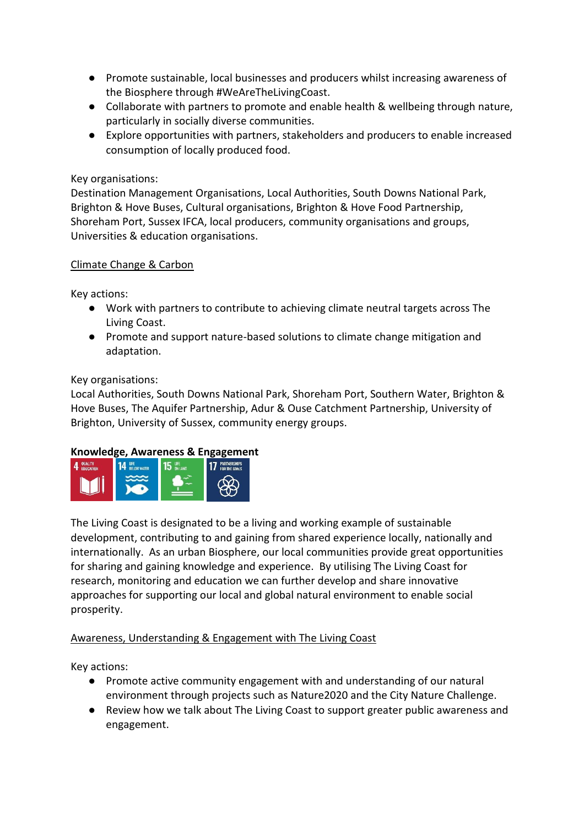- Promote sustainable, local businesses and producers whilst increasing awareness of the Biosphere through #WeAreTheLivingCoast.
- Collaborate with partners to promote and enable health & wellbeing through nature, particularly in socially diverse communities.
- Explore opportunities with partners, stakeholders and producers to enable increased consumption of locally produced food.

### Key organisations:

Destination Management Organisations, Local Authorities, South Downs National Park, Brighton & Hove Buses, Cultural organisations, Brighton & Hove Food Partnership, Shoreham Port, Sussex IFCA, local producers, community organisations and groups, Universities & education organisations.

#### Climate Change & Carbon

Key actions:

- Work with partners to contribute to achieving climate neutral targets across The Living Coast.
- Promote and support nature-based solutions to climate change mitigation and adaptation.

#### Key organisations:

Local Authorities, South Downs National Park, Shoreham Port, Southern Water, Brighton & Hove Buses, The Aquifer Partnership, Adur & Ouse Catchment Partnership, University of Brighton, University of Sussex, community energy groups.

#### **Knowledge, Awareness & Engagement**



The Living Coast is designated to be a living and working example of sustainable development, contributing to and gaining from shared experience locally, nationally and internationally. As an urban Biosphere, our local communities provide great opportunities for sharing and gaining knowledge and experience. By utilising The Living Coast for research, monitoring and education we can further develop and share innovative approaches for supporting our local and global natural environment to enable social prosperity.

## Awareness, Understanding & Engagement with The Living Coast

Key actions:

- Promote active community engagement with and understanding of our natural environment through projects such as Nature2020 and the City Nature Challenge.
- Review how we talk about The Living Coast to support greater public awareness and engagement.